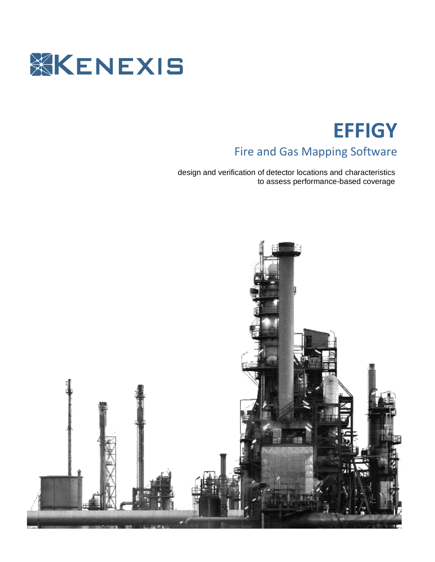

# **EFFIGY**

# Fire and Gas Mapping Software

design and verification of detector locations and characteristics to assess performance-based coverage

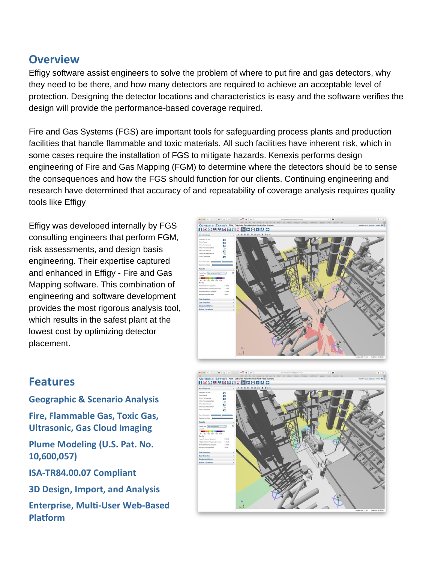# **Overview**

Effigy software assist engineers to solve the problem of where to put fire and gas detectors, why they need to be there, and how many detectors are required to achieve an acceptable level of protection. Designing the detector locations and characteristics is easy and the software verifies the design will provide the performance-based coverage required.

Fire and Gas Systems (FGS) are important tools for safeguarding process plants and production facilities that handle flammable and toxic materials. All such facilities have inherent risk, which in some cases require the installation of FGS to mitigate hazards. Kenexis performs design engineering of Fire and Gas Mapping (FGM) to determine where the detectors should be to sense the consequences and how the FGS should function for our clients. Continuing engineering and research have determined that accuracy of and repeatability of coverage analysis requires quality tools like Effigy

Effigy was developed internally by FGS consulting engineers that perform FGM, risk assessments, and design basis engineering. Their expertise captured and enhanced in Effigy - Fire and Gas Mapping software. This combination of engineering and software development provides the most rigorous analysis tool, which results in the safest plant at the lowest cost by optimizing detector placement.



# **Features**

**Geographic & Scenario Analysis Fire, Flammable Gas, Toxic Gas, Ultrasonic, Gas Cloud Imaging Plume Modeling (U.S. Pat. No. 10,600,057) ISA-TR84.00.07 Compliant**

**3D Design, Import, and Analysis** 

**Enterprise, Multi-User Web-Based Platform**

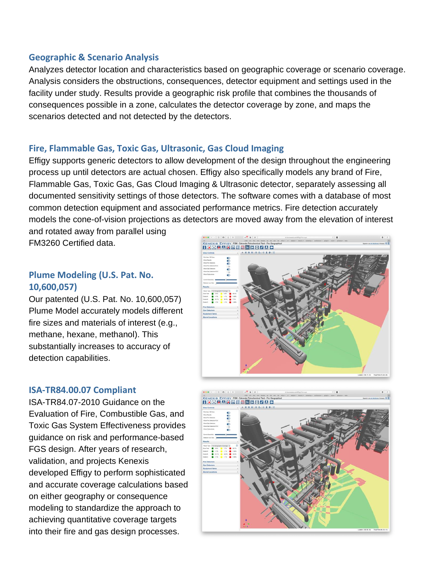## **Geographic & Scenario Analysis**

Analyzes detector location and characteristics based on geographic coverage or scenario coverage. Analysis considers the obstructions, consequences, detector equipment and settings used in the facility under study. Results provide a geographic risk profile that combines the thousands of consequences possible in a zone, calculates the detector coverage by zone, and maps the scenarios detected and not detected by the detectors.

# **Fire, Flammable Gas, Toxic Gas, Ultrasonic, Gas Cloud Imaging**

Effigy supports generic detectors to allow development of the design throughout the engineering process up until detectors are actual chosen. Effigy also specifically models any brand of Fire, Flammable Gas, Toxic Gas, Gas Cloud Imaging & Ultrasonic detector, separately assessing all documented sensitivity settings of those detectors. The software comes with a database of most common detection equipment and associated performance metrics. Fire detection accurately models the cone-of-vision projections as detectors are moved away from the elevation of interest and rotated away from parallel using

FM3260 Certified data.

# **Plume Modeling (U.S. Pat. No. 10,600,057)**

Our patented (U.S. Pat. No. 10,600,057) Plume Model accurately models different fire sizes and materials of interest (e.g., methane, hexane, methanol). This substantially increases to accuracy of detection capabilities.

# **ISA-TR84.00.07 Compliant**

ISA-TR84.07-2010 Guidance on the Evaluation of Fire, Combustible Gas, and Toxic Gas System Effectiveness provides guidance on risk and performance-based FGS design. After years of research, validation, and projects Kenexis developed Effigy to perform sophisticated and accurate coverage calculations based on either geography or consequence modeling to standardize the approach to achieving quantitative coverage targets into their fire and gas design processes.